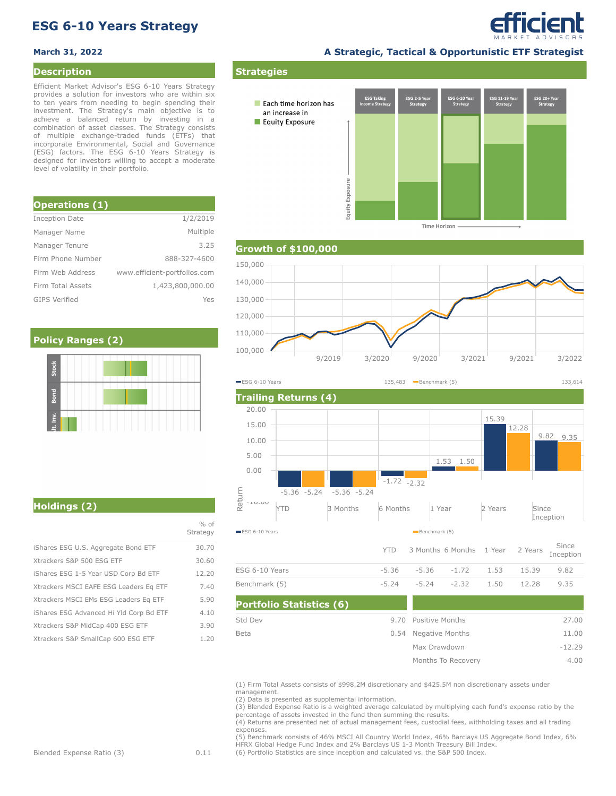# **ESG 6-10 Years Strategy**

### **Description**

Efficient Market Advisor's ESG 6-10 Years Strategy provides a solution for investors who are within six to ten years from needing to begin spending their investment. The Strategy's main objective is to achieve a balanced return by investing in a combination of asset classes. The Strategy consists of multiple exchange-traded funds (ETFs) that incorporate Environmental, Social and Governance (ESG) factors. The ESG 6-10 Years Strategy is designed for investors willing to accept a moderate level of volatility in their portfolio.

| <b>Operations (1)</b> |                              |
|-----------------------|------------------------------|
| Inception Date        | 1/2/2019                     |
| Manager Name          | Multiple                     |
| Manager Tenure        | 3.25                         |
| Firm Phone Number     | 888-327-4600                 |
| Firm Web Address      | www.efficient-portfolios.com |
| Firm Total Assets     | 1,423,800,000.00             |
| <b>GIPS Verified</b>  | Yes                          |

## **Policy Ranges (2)**

**March 31, 2022 A Strategic, Tactical & Opportunistic ETF Strategist**

efficient



**Time Horizon** 







## **Holdings (2)**

|                                         | $%$ of<br>Strategy |
|-----------------------------------------|--------------------|
| iShares ESG U.S. Aggregate Bond ETF     | 30.70              |
| Xtrackers S&P 500 ESG ETF               | 30.60              |
| iShares ESG 1-5 Year USD Corp Bd ETF    | 12.20              |
| Xtrackers MSCI EAFE ESG Leaders Eq ETF  | 7.40               |
| Xtrackers MSCI EMs ESG Leaders Eq ETF   | 5.90               |
| iShares ESG Advanced Hi Yld Corp Bd ETF | 4.10               |
| Xtrackers S&P MidCap 400 ESG ETF        | 3.90               |
| Xtrackers S&P SmallCap 600 ESG ETF      | 1.20               |

(1) Firm Total Assets consists of \$998.2M discretionary and \$425.5M non discretionary assets under management.

9.70

0.54 Negative Months Positive Months

> Max Drawdown Months To Recovery

-5.24 -5.24 -2.32 1.50 12.28 9.35

27.00 11.00 -12.29 4.00

(2) Data is presented as supplemental information.

**Portfolio Statistics (6)**

Std Dev Beta

Benchmark (5)

(3) Blended Expense Ratio is a weighted average calculated by multiplying each fund's expense ratio by the percentage of assets invested in the fund then summing the results.

(4) Returns are presented net of actual management fees, custodial fees, withholding taxes and all trading expenses.

(5) Benchmark consists of 46% MSCI All Country World Index, 46% Barclays US Aggregate Bond Index, 6% HFRX Global Hedge Fund Index and 2% Barclays US 1-3 Month Treasury Bill Index.

(6) Portfolio Statistics are since inception and calculated vs. the S&P 500 Index.